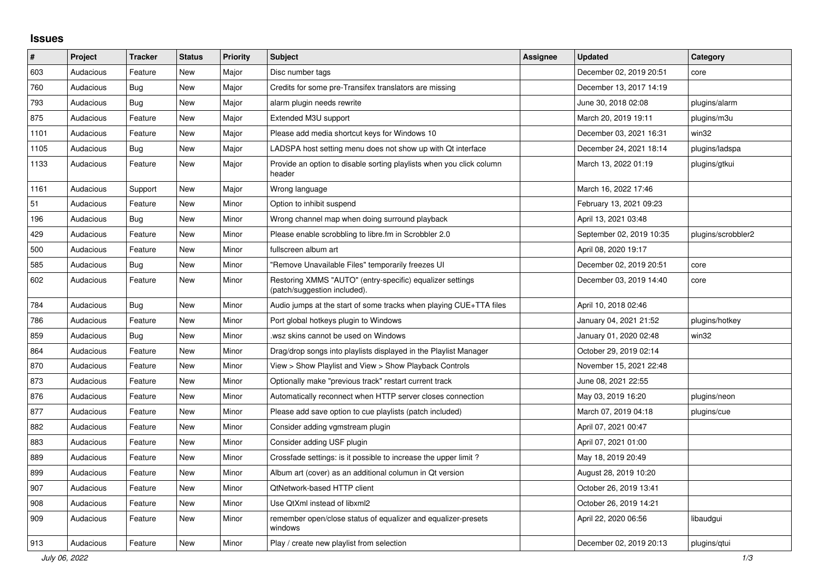## **Issues**

| $\vert$ # | Project   | <b>Tracker</b> | <b>Status</b> | <b>Priority</b> | <b>Subject</b>                                                                            | <b>Assignee</b> | <b>Updated</b>           | Category           |
|-----------|-----------|----------------|---------------|-----------------|-------------------------------------------------------------------------------------------|-----------------|--------------------------|--------------------|
| 603       | Audacious | Feature        | New           | Major           | Disc number tags                                                                          |                 | December 02, 2019 20:51  | core               |
| 760       | Audacious | Bug            | <b>New</b>    | Major           | Credits for some pre-Transifex translators are missing                                    |                 | December 13, 2017 14:19  |                    |
| 793       | Audacious | <b>Bug</b>     | <b>New</b>    | Major           | alarm plugin needs rewrite                                                                |                 | June 30, 2018 02:08      | plugins/alarm      |
| 875       | Audacious | Feature        | <b>New</b>    | Major           | Extended M3U support                                                                      |                 | March 20, 2019 19:11     | plugins/m3u        |
| 1101      | Audacious | Feature        | <b>New</b>    | Major           | Please add media shortcut keys for Windows 10                                             |                 | December 03, 2021 16:31  | win32              |
| 1105      | Audacious | <b>Bug</b>     | <b>New</b>    | Major           | LADSPA host setting menu does not show up with Qt interface                               |                 | December 24, 2021 18:14  | plugins/ladspa     |
| 1133      | Audacious | Feature        | New           | Major           | Provide an option to disable sorting playlists when you click column<br>header            |                 | March 13, 2022 01:19     | plugins/gtkui      |
| 1161      | Audacious | Support        | <b>New</b>    | Major           | Wrong language                                                                            |                 | March 16, 2022 17:46     |                    |
| 51        | Audacious | Feature        | New           | Minor           | Option to inhibit suspend                                                                 |                 | February 13, 2021 09:23  |                    |
| 196       | Audacious | <b>Bug</b>     | New           | Minor           | Wrong channel map when doing surround playback                                            |                 | April 13, 2021 03:48     |                    |
| 429       | Audacious | Feature        | <b>New</b>    | Minor           | Please enable scrobbling to libre.fm in Scrobbler 2.0                                     |                 | September 02, 2019 10:35 | plugins/scrobbler2 |
| 500       | Audacious | Feature        | <b>New</b>    | Minor           | fullscreen album art                                                                      |                 | April 08, 2020 19:17     |                    |
| 585       | Audacious | <b>Bug</b>     | <b>New</b>    | Minor           | "Remove Unavailable Files" temporarily freezes UI                                         |                 | December 02, 2019 20:51  | core               |
| 602       | Audacious | Feature        | <b>New</b>    | Minor           | Restoring XMMS "AUTO" (entry-specific) equalizer settings<br>(patch/suggestion included). |                 | December 03, 2019 14:40  | core               |
| 784       | Audacious | Bug            | <b>New</b>    | Minor           | Audio jumps at the start of some tracks when playing CUE+TTA files                        |                 | April 10, 2018 02:46     |                    |
| 786       | Audacious | Feature        | <b>New</b>    | Minor           | Port global hotkeys plugin to Windows                                                     |                 | January 04, 2021 21:52   | plugins/hotkey     |
| 859       | Audacious | Bug            | <b>New</b>    | Minor           | wsz skins cannot be used on Windows                                                       |                 | January 01, 2020 02:48   | win32              |
| 864       | Audacious | Feature        | New           | Minor           | Drag/drop songs into playlists displayed in the Playlist Manager                          |                 | October 29, 2019 02:14   |                    |
| 870       | Audacious | Feature        | <b>New</b>    | Minor           | View > Show Playlist and View > Show Playback Controls                                    |                 | November 15, 2021 22:48  |                    |
| 873       | Audacious | Feature        | <b>New</b>    | Minor           | Optionally make "previous track" restart current track                                    |                 | June 08, 2021 22:55      |                    |
| 876       | Audacious | Feature        | <b>New</b>    | Minor           | Automatically reconnect when HTTP server closes connection                                |                 | May 03, 2019 16:20       | plugins/neon       |
| 877       | Audacious | Feature        | <b>New</b>    | Minor           | Please add save option to cue playlists (patch included)                                  |                 | March 07, 2019 04:18     | plugins/cue        |
| 882       | Audacious | Feature        | <b>New</b>    | Minor           | Consider adding vgmstream plugin                                                          |                 | April 07, 2021 00:47     |                    |
| 883       | Audacious | Feature        | <b>New</b>    | Minor           | Consider adding USF plugin                                                                |                 | April 07, 2021 01:00     |                    |
| 889       | Audacious | Feature        | New           | Minor           | Crossfade settings: is it possible to increase the upper limit?                           |                 | May 18, 2019 20:49       |                    |
| 899       | Audacious | Feature        | <b>New</b>    | Minor           | Album art (cover) as an additional columun in Qt version                                  |                 | August 28, 2019 10:20    |                    |
| 907       | Audacious | Feature        | New           | Minor           | <b>QtNetwork-based HTTP client</b>                                                        |                 | October 26, 2019 13:41   |                    |
| 908       | Audacious | Feature        | <b>New</b>    | Minor           | Use QtXml instead of libxml2                                                              |                 | October 26, 2019 14:21   |                    |
| 909       | Audacious | Feature        | New           | Minor           | remember open/close status of equalizer and equalizer-presets<br>windows                  |                 | April 22, 2020 06:56     | libaudgui          |
| 913       | Audacious | Feature        | <b>New</b>    | Minor           | Play / create new playlist from selection                                                 |                 | December 02, 2019 20:13  | plugins/qtui       |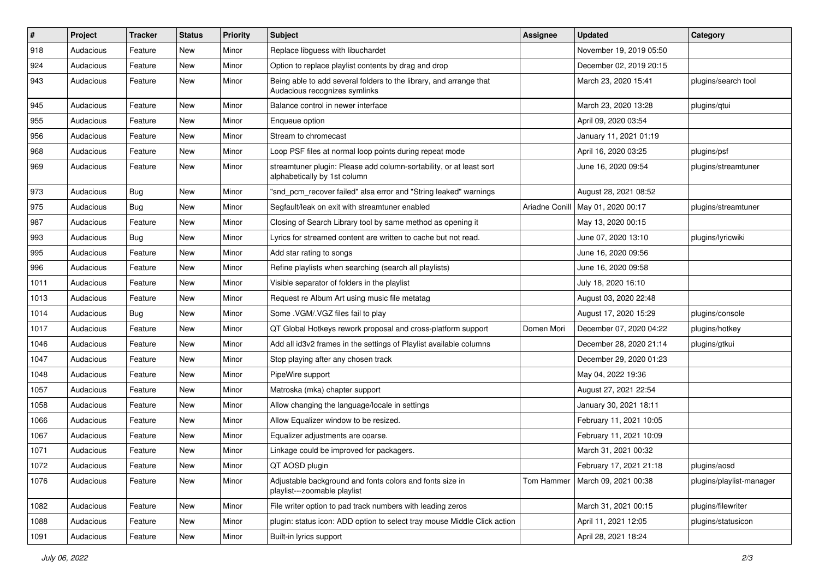| $\sharp$ | Project   | <b>Tracker</b> | <b>Status</b> | <b>Priority</b> | Subject                                                                                             | <b>Assignee</b> | <b>Updated</b>          | Category                 |
|----------|-----------|----------------|---------------|-----------------|-----------------------------------------------------------------------------------------------------|-----------------|-------------------------|--------------------------|
| 918      | Audacious | Feature        | <b>New</b>    | Minor           | Replace libguess with libuchardet                                                                   |                 | November 19, 2019 05:50 |                          |
| 924      | Audacious | Feature        | New           | Minor           | Option to replace playlist contents by drag and drop                                                |                 | December 02, 2019 20:15 |                          |
| 943      | Audacious | Feature        | New           | Minor           | Being able to add several folders to the library, and arrange that<br>Audacious recognizes symlinks |                 | March 23, 2020 15:41    | plugins/search tool      |
| 945      | Audacious | Feature        | <b>New</b>    | Minor           | Balance control in newer interface                                                                  |                 | March 23, 2020 13:28    | plugins/qtui             |
| 955      | Audacious | Feature        | New           | Minor           | Enqueue option                                                                                      |                 | April 09, 2020 03:54    |                          |
| 956      | Audacious | Feature        | New           | Minor           | Stream to chromecast                                                                                |                 | January 11, 2021 01:19  |                          |
| 968      | Audacious | Feature        | New           | Minor           | Loop PSF files at normal loop points during repeat mode                                             |                 | April 16, 2020 03:25    | plugins/psf              |
| 969      | Audacious | Feature        | New           | Minor           | streamtuner plugin: Please add column-sortability, or at least sort<br>alphabetically by 1st column |                 | June 16, 2020 09:54     | plugins/streamtuner      |
| 973      | Audacious | Bug            | New           | Minor           | "snd_pcm_recover failed" alsa error and "String leaked" warnings                                    |                 | August 28, 2021 08:52   |                          |
| 975      | Audacious | Bug            | <b>New</b>    | Minor           | Segfault/leak on exit with streamtuner enabled                                                      | Ariadne Conill  | May 01, 2020 00:17      | plugins/streamtuner      |
| 987      | Audacious | Feature        | New           | Minor           | Closing of Search Library tool by same method as opening it                                         |                 | May 13, 2020 00:15      |                          |
| 993      | Audacious | Bug            | New           | Minor           | Lyrics for streamed content are written to cache but not read.                                      |                 | June 07, 2020 13:10     | plugins/lyricwiki        |
| 995      | Audacious | Feature        | New           | Minor           | Add star rating to songs                                                                            |                 | June 16, 2020 09:56     |                          |
| 996      | Audacious | Feature        | New           | Minor           | Refine playlists when searching (search all playlists)                                              |                 | June 16, 2020 09:58     |                          |
| 1011     | Audacious | Feature        | New           | Minor           | Visible separator of folders in the playlist                                                        |                 | July 18, 2020 16:10     |                          |
| 1013     | Audacious | Feature        | New           | Minor           | Request re Album Art using music file metatag                                                       |                 | August 03, 2020 22:48   |                          |
| 1014     | Audacious | Bug            | New           | Minor           | Some .VGM/.VGZ files fail to play                                                                   |                 | August 17, 2020 15:29   | plugins/console          |
| 1017     | Audacious | Feature        | <b>New</b>    | Minor           | QT Global Hotkeys rework proposal and cross-platform support                                        | Domen Mori      | December 07, 2020 04:22 | plugins/hotkey           |
| 1046     | Audacious | Feature        | New           | Minor           | Add all id3v2 frames in the settings of Playlist available columns                                  |                 | December 28, 2020 21:14 | plugins/gtkui            |
| 1047     | Audacious | Feature        | New           | Minor           | Stop playing after any chosen track                                                                 |                 | December 29, 2020 01:23 |                          |
| 1048     | Audacious | Feature        | <b>New</b>    | Minor           | PipeWire support                                                                                    |                 | May 04, 2022 19:36      |                          |
| 1057     | Audacious | Feature        | New           | Minor           | Matroska (mka) chapter support                                                                      |                 | August 27, 2021 22:54   |                          |
| 1058     | Audacious | Feature        | New           | Minor           | Allow changing the language/locale in settings                                                      |                 | January 30, 2021 18:11  |                          |
| 1066     | Audacious | Feature        | New           | Minor           | Allow Equalizer window to be resized.                                                               |                 | February 11, 2021 10:05 |                          |
| 1067     | Audacious | Feature        | New           | Minor           | Equalizer adjustments are coarse.                                                                   |                 | February 11, 2021 10:09 |                          |
| 1071     | Audacious | Feature        | New           | Minor           | Linkage could be improved for packagers.                                                            |                 | March 31, 2021 00:32    |                          |
| 1072     | Audacious | Feature        | New           | Minor           | QT AOSD plugin                                                                                      |                 | February 17, 2021 21:18 | plugins/aosd             |
| 1076     | Audacious | Feature        | New           | Minor           | Adjustable background and fonts colors and fonts size in<br>playlist---zoomable playlist            | Tom Hammer      | March 09, 2021 00:38    | plugins/playlist-manager |
| 1082     | Audacious | Feature        | New           | Minor           | File writer option to pad track numbers with leading zeros                                          |                 | March 31, 2021 00:15    | plugins/filewriter       |
| 1088     | Audacious | Feature        | New           | Minor           | plugin: status icon: ADD option to select tray mouse Middle Click action                            |                 | April 11, 2021 12:05    | plugins/statusicon       |
| 1091     | Audacious | Feature        | New           | Minor           | Built-in lyrics support                                                                             |                 | April 28, 2021 18:24    |                          |